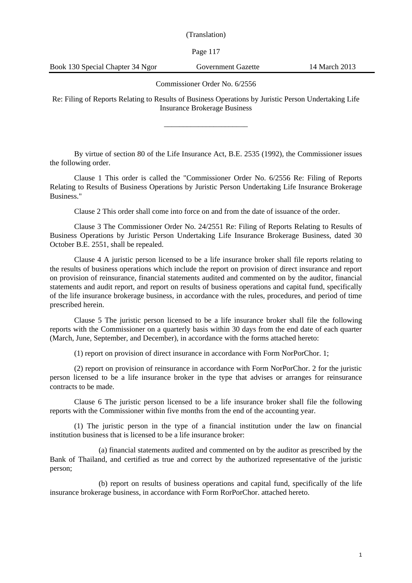Page 117

Book 130 Special Chapter 34 Ngor Government Gazette 14 March 2013

the following order.

Commissioner Order No. 6/2556

Re: Filing of Reports Relating to Results of Business Operations by Juristic Person Undertaking Life Insurance Brokerage Business

\_\_\_\_\_\_\_\_\_\_\_\_\_\_\_\_\_\_\_\_\_\_

By virtue of section 80 of the Life Insurance Act, B.E. 2535 (1992), the Commissioner issues

Clause 1 This order is called the "Commissioner Order No. 6/2556 Re: Filing of Reports Relating to Results of Business Operations by Juristic Person Undertaking Life Insurance Brokerage Business."

Clause 2 This order shall come into force on and from the date of issuance of the order.

Clause 3 The Commissioner Order No. 24/2551 Re: Filing of Reports Relating to Results of Business Operations by Juristic Person Undertaking Life Insurance Brokerage Business, dated 30 October B.E. 2551, shall be repealed.

Clause 4 A juristic person licensed to be a life insurance broker shall file reports relating to the results of business operations which include the report on provision of direct insurance and report on provision of reinsurance, financial statements audited and commented on by the auditor, financial statements and audit report, and report on results of business operations and capital fund, specifically of the life insurance brokerage business, in accordance with the rules, procedures, and period of time prescribed herein.

Clause 5 The juristic person licensed to be a life insurance broker shall file the following reports with the Commissioner on a quarterly basis within 30 days from the end date of each quarter (March, June, September, and December), in accordance with the forms attached hereto:

(1) report on provision of direct insurance in accordance with Form NorPorChor. 1;

(2) report on provision of reinsurance in accordance with Form NorPorChor. 2 for the juristic person licensed to be a life insurance broker in the type that advises or arranges for reinsurance contracts to be made.

Clause 6 The juristic person licensed to be a life insurance broker shall file the following reports with the Commissioner within five months from the end of the accounting year.

(1) The juristic person in the type of a financial institution under the law on financial institution business that is licensed to be a life insurance broker:

(a) financial statements audited and commented on by the auditor as prescribed by the Bank of Thailand, and certified as true and correct by the authorized representative of the juristic person;

(b) report on results of business operations and capital fund, specifically of the life insurance brokerage business, in accordance with Form RorPorChor. attached hereto.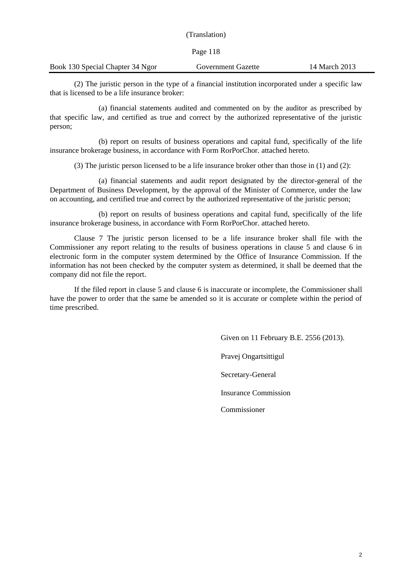|                                  | (Translation)             |               |
|----------------------------------|---------------------------|---------------|
|                                  | Page 118                  |               |
| Book 130 Special Chapter 34 Ngor | <b>Government Gazette</b> | 14 March 2013 |
|                                  |                           |               |

(2) The juristic person in the type of a financial institution incorporated under a specific law that is licensed to be a life insurance broker:

(a) financial statements audited and commented on by the auditor as prescribed by that specific law, and certified as true and correct by the authorized representative of the juristic person;

(b) report on results of business operations and capital fund, specifically of the life insurance brokerage business, in accordance with Form RorPorChor. attached hereto.

(3) The juristic person licensed to be a life insurance broker other than those in (1) and (2):

(a) financial statements and audit report designated by the director-general of the Department of Business Development, by the approval of the Minister of Commerce, under the law on accounting, and certified true and correct by the authorized representative of the juristic person;

(b) report on results of business operations and capital fund, specifically of the life insurance brokerage business, in accordance with Form RorPorChor. attached hereto.

Clause 7 The juristic person licensed to be a life insurance broker shall file with the Commissioner any report relating to the results of business operations in clause 5 and clause 6 in electronic form in the computer system determined by the Office of Insurance Commission. If the information has not been checked by the computer system as determined, it shall be deemed that the company did not file the report.

If the filed report in clause 5 and clause 6 is inaccurate or incomplete, the Commissioner shall have the power to order that the same be amended so it is accurate or complete within the period of time prescribed.

> Given on 11 February B.E. 2556 (2013). Pravej Ongartsittigul Secretary-General Insurance Commission Commissioner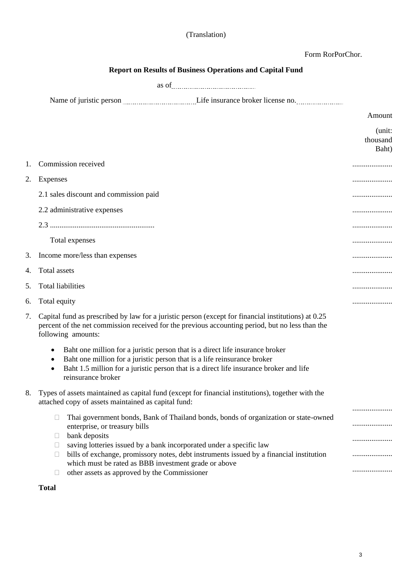Form RorPorChor.

|    | <b>Report on Results of Business Operations and Capital Fund</b>                                                                                                                                                                                                                                                                                                                                                                                        |                             |  |  |  |  |  |  |  |
|----|---------------------------------------------------------------------------------------------------------------------------------------------------------------------------------------------------------------------------------------------------------------------------------------------------------------------------------------------------------------------------------------------------------------------------------------------------------|-----------------------------|--|--|--|--|--|--|--|
|    |                                                                                                                                                                                                                                                                                                                                                                                                                                                         |                             |  |  |  |  |  |  |  |
|    | Name of juristic person <i>[[11]</i> $\frac{1}{2}$ [[1] $\frac{1}{2}$ [1] Life insurance broker license no. <i>[[11]</i> $\frac{1}{2}$                                                                                                                                                                                                                                                                                                                  |                             |  |  |  |  |  |  |  |
|    |                                                                                                                                                                                                                                                                                                                                                                                                                                                         | Amount                      |  |  |  |  |  |  |  |
|    |                                                                                                                                                                                                                                                                                                                                                                                                                                                         | (unit:<br>thousand<br>Baht) |  |  |  |  |  |  |  |
| 1. | Commission received                                                                                                                                                                                                                                                                                                                                                                                                                                     |                             |  |  |  |  |  |  |  |
| 2. | Expenses                                                                                                                                                                                                                                                                                                                                                                                                                                                |                             |  |  |  |  |  |  |  |
|    | 2.1 sales discount and commission paid                                                                                                                                                                                                                                                                                                                                                                                                                  |                             |  |  |  |  |  |  |  |
|    | 2.2 administrative expenses                                                                                                                                                                                                                                                                                                                                                                                                                             |                             |  |  |  |  |  |  |  |
|    |                                                                                                                                                                                                                                                                                                                                                                                                                                                         |                             |  |  |  |  |  |  |  |
|    | Total expenses                                                                                                                                                                                                                                                                                                                                                                                                                                          |                             |  |  |  |  |  |  |  |
| 3. | Income more/less than expenses                                                                                                                                                                                                                                                                                                                                                                                                                          |                             |  |  |  |  |  |  |  |
| 4. | Total assets                                                                                                                                                                                                                                                                                                                                                                                                                                            |                             |  |  |  |  |  |  |  |
| 5. | <b>Total liabilities</b>                                                                                                                                                                                                                                                                                                                                                                                                                                |                             |  |  |  |  |  |  |  |
| 6. | Total equity                                                                                                                                                                                                                                                                                                                                                                                                                                            |                             |  |  |  |  |  |  |  |
| 7. | Capital fund as prescribed by law for a juristic person (except for financial institutions) at 0.25<br>percent of the net commission received for the previous accounting period, but no less than the<br>following amounts:                                                                                                                                                                                                                            |                             |  |  |  |  |  |  |  |
|    | Baht one million for a juristic person that is a direct life insurance broker<br>Baht one million for a juristic person that is a life reinsurance broker<br>Baht 1.5 million for a juristic person that is a direct life insurance broker and life<br>$\bullet$<br>reinsurance broker                                                                                                                                                                  |                             |  |  |  |  |  |  |  |
| 8. | Types of assets maintained as capital fund (except for financial institutions), together with the<br>attached copy of assets maintained as capital fund:                                                                                                                                                                                                                                                                                                |                             |  |  |  |  |  |  |  |
|    | Thai government bonds, Bank of Thailand bonds, bonds of organization or state-owned<br>$\Box$<br>enterprise, or treasury bills<br>bank deposits<br>Ш<br>saving lotteries issued by a bank incorporated under a specific law<br>Ш<br>bills of exchange, promissory notes, debt instruments issued by a financial institution<br>$\Box$<br>which must be rated as BBB investment grade or above<br>other assets as approved by the Commissioner<br>$\Box$ | <br><br><br>                |  |  |  |  |  |  |  |

**Total**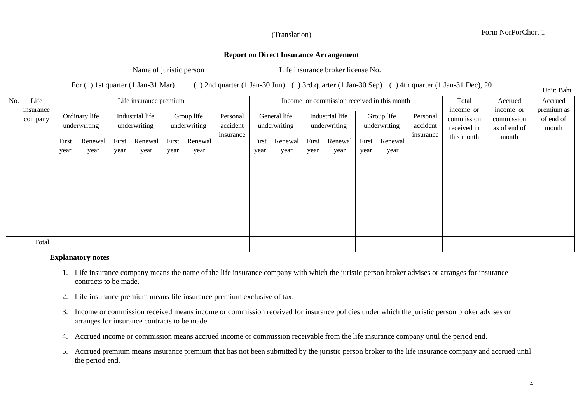# Form NorPorChor. 1

Unit: Baht

# **Report on Direct Insurance Arrangement**

Name of juristic person Life insurance broker license No.

For ( ) 1st quarter (1 Jan-31 Mar) ( ) 2nd quarter (1 Jan-30 Jun) ( ) 3rd quarter (1 Jan-30 Sep) ( ) 4th quarter (1 Jan-31 Dec), 20

| No.<br>Life |                      | Life insurance premium        |                 |                                 |                 |                            |                 |                                   | Income or commission received in this month |                 |                                 |                 |                            |                 | Total                             | Accrued                                | Accrued<br>premium as                   |                    |
|-------------|----------------------|-------------------------------|-----------------|---------------------------------|-----------------|----------------------------|-----------------|-----------------------------------|---------------------------------------------|-----------------|---------------------------------|-----------------|----------------------------|-----------------|-----------------------------------|----------------------------------------|-----------------------------------------|--------------------|
|             | insurance<br>company | Ordinary life<br>underwriting |                 | Industrial life<br>underwriting |                 | Group life<br>underwriting |                 | Personal<br>accident<br>insurance | General life<br>underwriting                |                 | Industrial life<br>underwriting |                 | Group life<br>underwriting |                 | Personal<br>accident<br>insurance | income or<br>commission<br>received in | income or<br>commission<br>as of end of | of end of<br>month |
|             |                      | First<br>year                 | Renewal<br>year | First<br>year                   | Renewal<br>year | First<br>year              | Renewal<br>year |                                   | First<br>year                               | Renewal<br>year | First<br>year                   | Renewal<br>year | First<br>year              | Renewal<br>year |                                   | this month                             | month                                   |                    |
|             |                      |                               |                 |                                 |                 |                            |                 |                                   |                                             |                 |                                 |                 |                            |                 |                                   |                                        |                                         |                    |
|             |                      |                               |                 |                                 |                 |                            |                 |                                   |                                             |                 |                                 |                 |                            |                 |                                   |                                        |                                         |                    |
|             | Total                |                               |                 |                                 |                 |                            |                 |                                   |                                             |                 |                                 |                 |                            |                 |                                   |                                        |                                         |                    |

#### **Explanatory notes**

- 1. Life insurance company means the name of the life insurance company with which the juristic person broker advises or arranges for insurance contracts to be made.
- 2. Life insurance premium means life insurance premium exclusive of tax.
- 3. Income or commission received means income or commission received for insurance policies under which the juristic person broker advises or arranges for insurance contracts to be made.
- 4. Accrued income or commission means accrued income or commission receivable from the life insurance company until the period end.
- 5. Accrued premium means insurance premium that has not been submitted by the juristic person broker to the life insurance company and accrued until the period end.